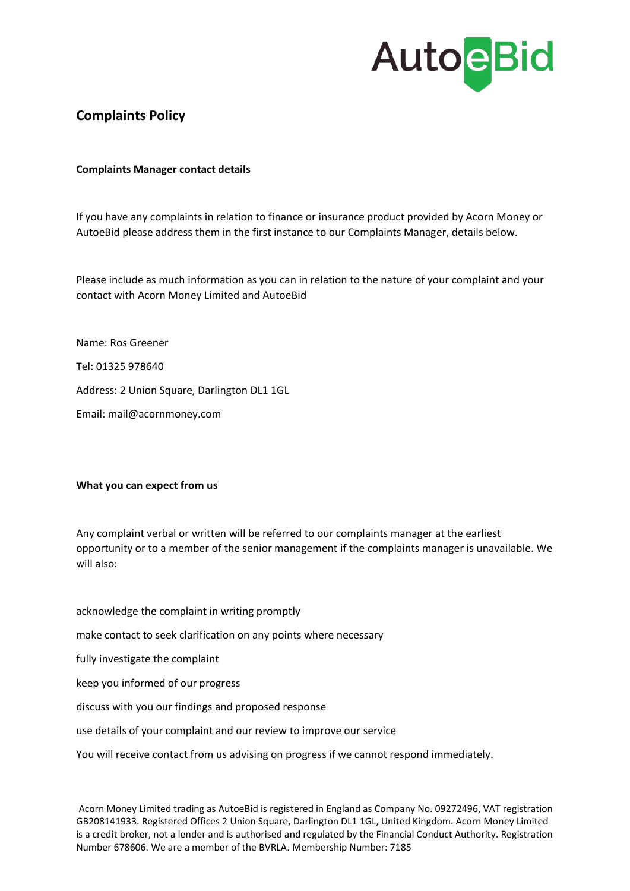## **AutoeBid**

### **Complaints Policy**

#### **Complaints Manager contact details**

If you have any complaints in relation to finance or insurance product provided by Acorn Money or AutoeBid please address them in the first instance to our Complaints Manager, details below.

Please include as much information as you can in relation to the nature of your complaint and your contact with Acorn Money Limited and AutoeBid

Name: Ros Greener Tel: 01325 978640 Address: 2 Union Square, Darlington DL1 1GL Email: mail@acornmoney.com

#### **What you can expect from us**

Any complaint verbal or written will be referred to our complaints manager at the earliest opportunity or to a member of the senior management if the complaints manager is unavailable. We will also:

acknowledge the complaint in writing promptly make contact to seek clarification on any points where necessary fully investigate the complaint keep you informed of our progress discuss with you our findings and proposed response use details of your complaint and our review to improve our service

You will receive contact from us advising on progress if we cannot respond immediately.

Acorn Money Limited trading as AutoeBid is registered in England as Company No. 09272496, VAT registration GB208141933. Registered Offices 2 Union Square, Darlington DL1 1GL, United Kingdom. Acorn Money Limited is a credit broker, not a lender and is authorised and regulated by the Financial Conduct Authority. Registration Number 678606. We are a member of the BVRLA. Membership Number: 7185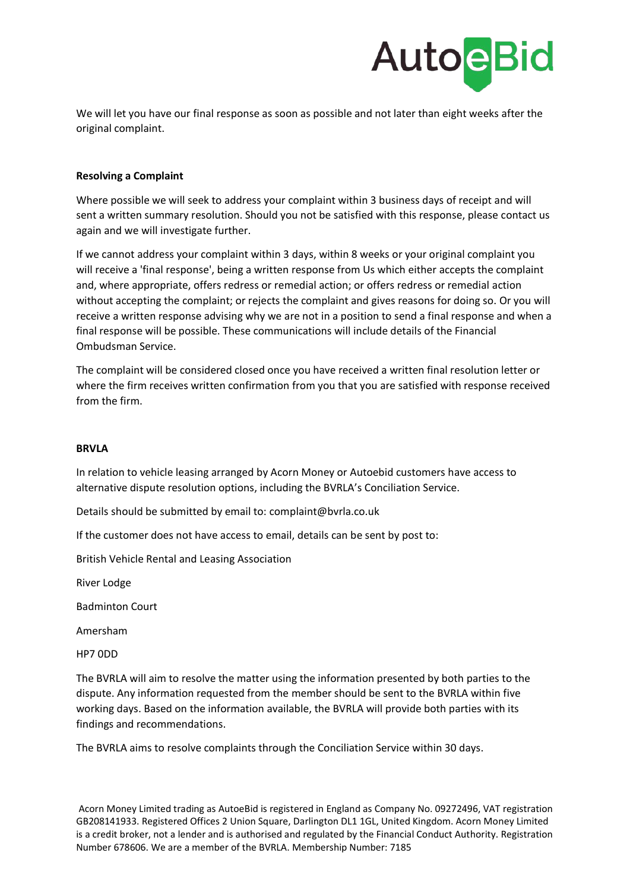

We will let you have our final response as soon as possible and not later than eight weeks after the original complaint.

#### **Resolving a Complaint**

Where possible we will seek to address your complaint within 3 business days of receipt and will sent a written summary resolution. Should you not be satisfied with this response, please contact us again and we will investigate further.

If we cannot address your complaint within 3 days, within 8 weeks or your original complaint you will receive a 'final response', being a written response from Us which either accepts the complaint and, where appropriate, offers redress or remedial action; or offers redress or remedial action without accepting the complaint; or rejects the complaint and gives reasons for doing so. Or you will receive a written response advising why we are not in a position to send a final response and when a final response will be possible. These communications will include details of the Financial Ombudsman Service.

The complaint will be considered closed once you have received a written final resolution letter or where the firm receives written confirmation from you that you are satisfied with response received from the firm.

#### **BRVLA**

In relation to vehicle leasing arranged by Acorn Money or Autoebid customers have access to alternative dispute resolution options, including the BVRLA's Conciliation Service.

Details should be submitted by email to: complaint@bvrla.co.uk

If the customer does not have access to email, details can be sent by post to:

British Vehicle Rental and Leasing Association

River Lodge

Badminton Court

Amersham

HP7 0DD

The BVRLA will aim to resolve the matter using the information presented by both parties to the dispute. Any information requested from the member should be sent to the BVRLA within five working days. Based on the information available, the BVRLA will provide both parties with its findings and recommendations.

The BVRLA aims to resolve complaints through the Conciliation Service within 30 days.

Acorn Money Limited trading as AutoeBid is registered in England as Company No. 09272496, VAT registration GB208141933. Registered Offices 2 Union Square, Darlington DL1 1GL, United Kingdom. Acorn Money Limited is a credit broker, not a lender and is authorised and regulated by the Financial Conduct Authority. Registration Number 678606. We are a member of the BVRLA. Membership Number: 7185